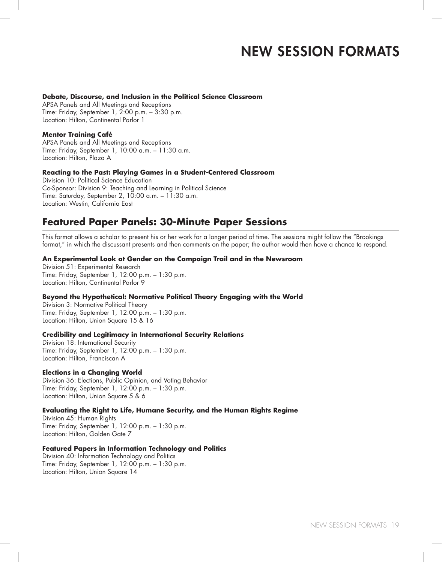#### **Debate, Discourse, and Inclusion in the Political Science Classroom**

APSA Panels and All Meetings and Receptions Time: Friday, September 1, 2:00 p.m. – 3:30 p.m. Location: Hilton, Continental Parlor 1

# **Mentor Training Café**

APSA Panels and All Meetings and Receptions Time: Friday, September 1, 10:00 a.m. – 11:30 a.m. Location: Hilton, Plaza A

#### **Reacting to the Past: Playing Games in a Student-Centered Classroom**

Division 10: Political Science Education Co-Sponsor: Division 9: Teaching and Learning in Political Science Time: Saturday, September 2, 10:00 a.m. – 11:30 a.m. Location: Westin, California East

# **Featured Paper Panels: 30-Minute Paper Sessions**

This format allows a scholar to present his or her work for a longer period of time. The sessions might follow the "Brookings format," in which the discussant presents and then comments on the paper; the author would then have a chance to respond.

#### **An Experimental Look at Gender on the Campaign Trail and in the Newsroom**

Division 51: Experimental Research Time: Friday, September 1, 12:00 p.m. – 1:30 p.m. Location: Hilton, Continental Parlor 9

# **Beyond the Hypothetical: Normative Political Theory Engaging with the World**

Division 3: Normative Political Theory Time: Friday, September 1, 12:00 p.m. – 1:30 p.m. Location: Hilton, Union Square 15 & 16

#### **Credibility and Legitimacy in International Security Relations**

Division 18: International Security Time: Friday, September 1, 12:00 p.m. – 1:30 p.m. Location: Hilton, Franciscan A

# **Elections in a Changing World**

Division 36: Elections, Public Opinion, and Voting Behavior Time: Friday, September 1, 12:00 p.m. – 1:30 p.m. Location: Hilton, Union Square 5 & 6

# **Evaluating the Right to Life, Humane Security, and the Human Rights Regime**

Division 45: Human Rights Time: Friday, September 1, 12:00 p.m. – 1:30 p.m. Location: Hilton, Golden Gate 7

# **Featured Papers in Information Technology and Politics**

Division 40: Information Technology and Politics Time: Friday, September 1, 12:00 p.m. – 1:30 p.m. Location: Hilton, Union Square 14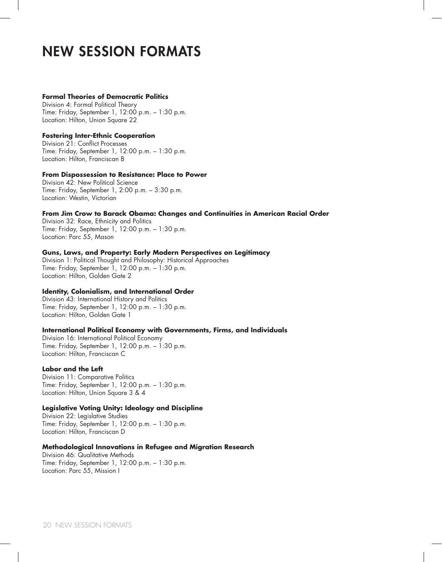# **Formal Theories of Democratic Politics**

Division 4: Formal Political Theory Time: Friday, September 1, 12:00 p.m. – 1:30 p.m. Location: Hilton, Union Square 22

### **Fostering Inter-Ethnic Cooperation**

Division 21: Conflict Processes Time: Friday, September 1, 12:00 p.m. – 1:30 p.m. Location: Hilton, Franciscan B

#### **From Dispossession to Resistance: Place to Power**

Division 42: New Political Science Time: Friday, September 1, 2:00 p.m. – 3:30 p.m. Location: Westin, Victorian

# **From Jim Crow to Barack Obama: Changes and Continuities in American Racial Order**

Division 32: Race, Ethnicity and Politics Time: Friday, September 1, 12:00 p.m. – 1:30 p.m. Location: Parc 55, Mason

#### **Guns, Laws, and Property: Early Modern Perspectives on Legitimacy**

Division 1: Political Thought and Philosophy: Historical Approaches Time: Friday, September 1, 12:00 p.m. – 1:30 p.m. Location: Hilton, Golden Gate 2

# **Identity, Colonialism, and International Order**

Division 43: International History and Politics Time: Friday, September 1, 12:00 p.m. – 1:30 p.m. Location: Hilton, Golden Gate 1

#### **International Political Economy with Governments, Firms, and Individuals**

Division 16: International Political Economy Time: Friday, September 1, 12:00 p.m. – 1:30 p.m. Location: Hilton, Franciscan C

#### **Labor and the Left**

Division 11: Comparative Politics Time: Friday, September 1, 12:00 p.m. – 1:30 p.m. Location: Hilton, Union Square 3 & 4

#### **Legislative Voting Unity: Ideology and Discipline**

Division 22: Legislative Studies Time: Friday, September 1, 12:00 p.m. – 1:30 p.m. Location: Hilton, Franciscan D

#### **Methodological Innovations in Refugee and Migration Research**

Division 46: Qualitative Methods Time: Friday, September 1, 12:00 p.m. – 1:30 p.m. Location: Parc 55, Mission I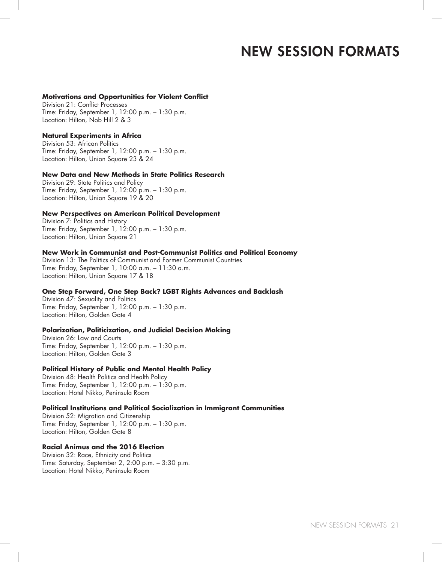#### **Motivations and Opportunities for Violent Conflict**

Division 21: Conflict Processes Time: Friday, September 1, 12:00 p.m. – 1:30 p.m. Location: Hilton, Nob Hill 2 & 3

#### **Natural Experiments in Africa**

Division 53: African Politics Time: Friday, September 1, 12:00 p.m. – 1:30 p.m. Location: Hilton, Union Square 23 & 24

#### **New Data and New Methods in State Politics Research**

Division 29: State Politics and Policy Time: Friday, September 1, 12:00 p.m. – 1:30 p.m. Location: Hilton, Union Square 19 & 20

#### **New Perspectives on American Political Development**

Division 7: Politics and History Time: Friday, September 1, 12:00 p.m. – 1:30 p.m. Location: Hilton, Union Square 21

# **New Work in Communist and Post-Communist Politics and Political Economy**

Division 13: The Politics of Communist and Former Communist Countries Time: Friday, September 1, 10:00 a.m. – 11:30 a.m. Location: Hilton, Union Square 17 & 18

#### **One Step Forward, One Step Back? LGBT Rights Advances and Backlash**

Division 47: Sexuality and Politics Time: Friday, September 1, 12:00 p.m. – 1:30 p.m. Location: Hilton, Golden Gate 4

#### **Polarization, Politicization, and Judicial Decision Making**

Division 26: Law and Courts Time: Friday, September 1, 12:00 p.m. – 1:30 p.m. Location: Hilton, Golden Gate 3

#### **Political History of Public and Mental Health Policy**

Division 48: Health Politics and Health Policy Time: Friday, September 1, 12:00 p.m. – 1:30 p.m. Location: Hotel Nikko, Peninsula Room

#### **Political Institutions and Political Socialization in Immigrant Communities**

Division 52: Migration and Citizenship Time: Friday, September 1, 12:00 p.m. – 1:30 p.m. Location: Hilton, Golden Gate 8

#### **Racial Animus and the 2016 Election**

Division 32: Race, Ethnicity and Politics Time: Saturday, September 2, 2:00 p.m. – 3:30 p.m. Location: Hotel Nikko, Peninsula Room